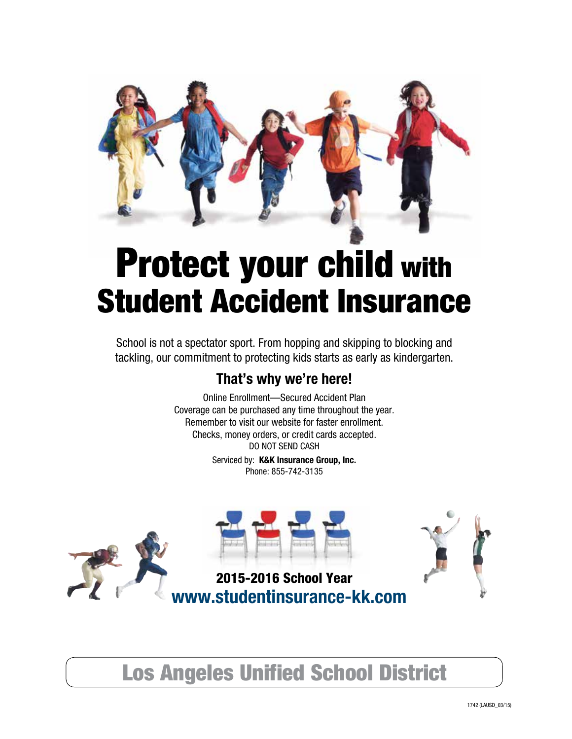

# Protect your child with Student Accident Insurance

School is not a spectator sport. From hopping and skipping to blocking and tackling, our commitment to protecting kids starts as early as kindergarten.

# **That's why we're here!**

Online Enrollment—Secured Accident Plan Coverage can be purchased any time throughout the year. Remember to visit our website for faster enrollment. Checks, money orders, or credit cards accepted. DO NOT SEND CASH

> Serviced by: **K&K Insurance Group, Inc.** Phone: 855-742-3135



Los Angeles Unified School District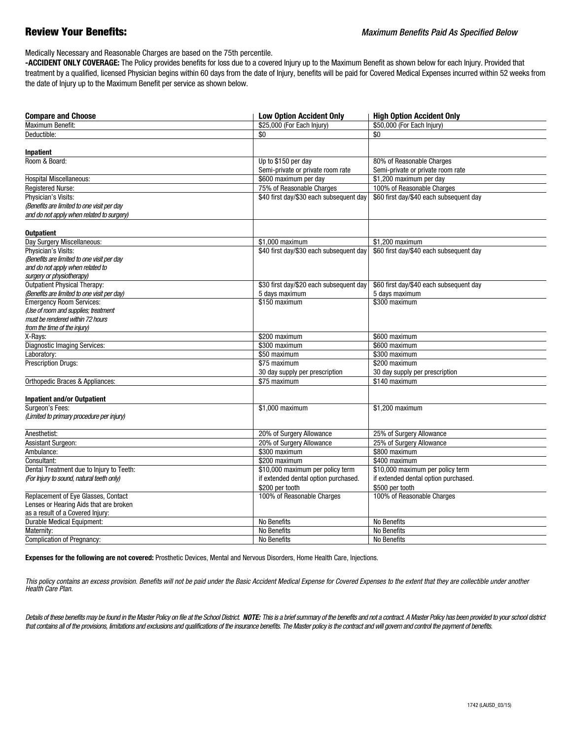Medically Necessary and Reasonable Charges are based on the 75th percentile.

 **-ACCIDENT ONLY COVERAGE:** The Policy provides benefits for loss due to a covered Injury up to the Maximum Benefit as shown below for each Injury. Provided that treatment by a qualified, licensed Physician begins within 60 days from the date of Injury, benefits will be paid for Covered Medical Expenses incurred within 52 weeks from the date of Injury up to the Maximum Benefit per service as shown below.

| <b>Compare and Choose</b>                   | <b>Low Option Accident Only</b>         | <b>High Option Accident Only</b>        |
|---------------------------------------------|-----------------------------------------|-----------------------------------------|
| <b>Maximum Benefit:</b>                     | \$25,000 (For Each Injury)              | \$50,000 (For Each Injury)              |
| Deductible:                                 | \$0                                     | \$0                                     |
|                                             |                                         |                                         |
| Inpatient<br>Room & Board:                  |                                         |                                         |
|                                             | Up to \$150 per day                     | 80% of Reasonable Charges               |
|                                             | Semi-private or private room rate       | Semi-private or private room rate       |
| <b>Hospital Miscellaneous:</b>              | \$600 maximum per day                   | \$1,200 maximum per day                 |
| <b>Registered Nurse:</b>                    | 75% of Reasonable Charges               | 100% of Reasonable Charges              |
| Physician's Visits:                         | \$40 first day/\$30 each subsequent day | \$60 first day/\$40 each subsequent day |
| (Benefits are limited to one visit per day  |                                         |                                         |
| and do not apply when related to surgery)   |                                         |                                         |
| <b>Outpatient</b>                           |                                         |                                         |
| Day Surgery Miscellaneous:                  | \$1,000 maximum                         | \$1.200 maximum                         |
| Physician's Visits:                         | \$40 first day/\$30 each subsequent day | \$60 first day/\$40 each subsequent day |
| (Benefits are limited to one visit per day  |                                         |                                         |
| and do not apply when related to            |                                         |                                         |
| surgery or physiotherapy)                   |                                         |                                         |
| Outpatient Physical Therapy:                | \$30 first day/\$20 each subsequent day | \$60 first day/\$40 each subsequent day |
| (Benefits are limited to one visit per day) | 5 days maximum                          | 5 days maximum                          |
| <b>Emergency Room Services:</b>             | \$150 maximum                           | \$300 maximum                           |
| (Use of room and supplies; treatment        |                                         |                                         |
| must be rendered within 72 hours            |                                         |                                         |
| from the time of the injury)                |                                         |                                         |
| X-Rays:                                     | \$200 maximum                           | \$600 maximum                           |
| <b>Diagnostic Imaging Services:</b>         | \$300 maximum                           | \$600 maximum                           |
| Laboratory:                                 | \$50 maximum                            | \$300 maximum                           |
| <b>Prescription Drugs:</b>                  | \$75 maximum                            | \$200 maximum                           |
|                                             | 30 day supply per prescription          | 30 day supply per prescription          |
| Orthopedic Braces & Appliances:             | \$75 maximum                            | \$140 maximum                           |
| <b>Inpatient and/or Outpatient</b>          |                                         |                                         |
| Surgeon's Fees:                             | \$1,000 maximum                         | \$1,200 maximum                         |
| (Limited to primary procedure per injury)   |                                         |                                         |
| Anesthetist:                                | 20% of Surgery Allowance                | 25% of Surgery Allowance                |
| Assistant Surgeon:                          | 20% of Surgery Allowance                | 25% of Surgery Allowance                |
| Ambulance:                                  | \$300 maximum                           | \$800 maximum                           |
| Consultant:                                 | \$200 maximum                           | \$400 maximum                           |
| Dental Treatment due to Injury to Teeth:    | \$10,000 maximum per policy term        | \$10,000 maximum per policy term        |
| (For Injury to sound, natural teeth only)   | if extended dental option purchased.    | if extended dental option purchased.    |
|                                             | \$200 per tooth                         | \$500 per tooth                         |
| Replacement of Eye Glasses, Contact         | 100% of Reasonable Charges              | 100% of Reasonable Charges              |
| Lenses or Hearing Aids that are broken      |                                         |                                         |
| as a result of a Covered Injury:            |                                         |                                         |
| <b>Durable Medical Equipment:</b>           | No Benefits                             | No Benefits                             |
| Maternity:                                  | No Benefits                             | No Benefits                             |
| <b>Complication of Pregnancy:</b>           | No Benefits                             | No Benefits                             |
|                                             |                                         |                                         |

**Expenses for the following are not covered:** Prosthetic Devices, Mental and Nervous Disorders, Home Health Care, Injections.

This policy contains an excess provision. Benefits will not be paid under the Basic Accident Medical Expense for Covered Expenses to the extent that they are collectible under another *Health Care Plan.*

Details of these benefits may be found in the Master Policy on file at the School District. NOTE: This is a brief summary of the benefits and not a contract. A Master Policy has been provided to your school district *that contains all of the provisions, limitations and exclusions and qualifications of the insurance benefits. The Master policy is the contract and will govern and control the payment of benefits.*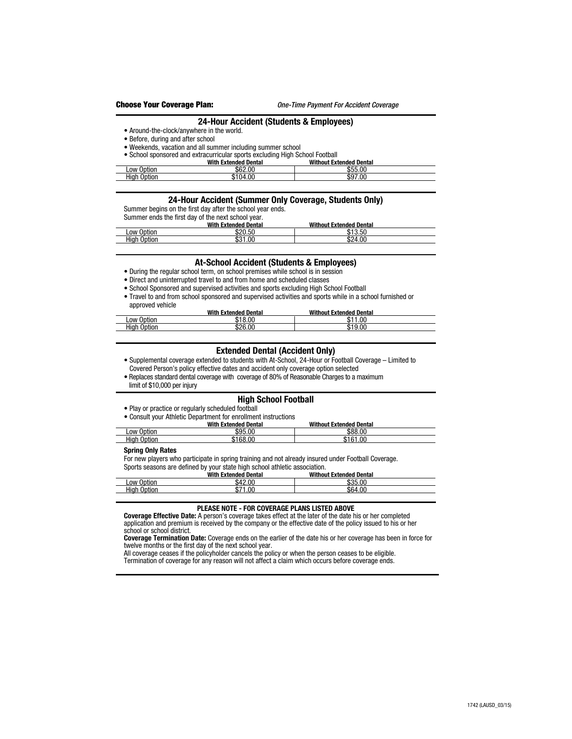#### **24-Hour Accident (Students & Employees)**

• Around-the-clock/anywhere in the world.

#### • Before, during and after school

- Weekends, vacation and all summer including summer school
- School sponsored and extracurricular sports excluding High School Football

|                 | <b>With Extended Dental</b> | <b>Without Extended Dental</b> |  |
|-----------------|-----------------------------|--------------------------------|--|
| Low Option      | \$62.00                     | \$55.00                        |  |
| _High<br>Option | \$104.00                    | \$97.00                        |  |

#### **24-Hour Accident (Summer Only Coverage, Students Only)**

Summer begins on the first day after the school year ends.

Summer ends the first day of the next school year.

|                | <b>With Extended Dental</b> | <b>Without Extended Dental</b>      |  |
|----------------|-----------------------------|-------------------------------------|--|
| Low Option     | \$20.50                     | $A \cap F \cap$<br>ы<br>ക∙<br>ึง.งเ |  |
| High<br>Option | 1.00<br>ጡጣዘ<br>აა           | \$24.00                             |  |

### **At-School Accident (Students & Employees)**

- During the regular school term, on school premises while school is in session
- Direct and uninterrupted travel to and from home and scheduled classes
- School Sponsored and supervised activities and sports excluding High School Football
- Travel to and from school sponsored and supervised activities and sports while in a school furnished or approved vehicle

|                 | With<br>າ Extended Dental | <b>Without Extended Dental</b> |  |
|-----------------|---------------------------|--------------------------------|--|
| Low<br>Option   | 8.0C<br>ומו               | 1.00<br>٠n                     |  |
| High<br>) otion | 00،<br>ሶሳር<br>۵Z          | .00                            |  |

#### **Extended Dental (Accident Only)**

- Supplemental coverage extended to students with At-School, 24-Hour or Football Coverage Limited to Covered Person's policy effective dates and accident only coverage option selected
- Replaces standard dental coverage with coverage of 80% of Reasonable Charges to a maximum
- limit of \$10,000 per injury

## **High School Football**

• Play or practice or regularly scheduled football

• Consult your Athletic Department for enrollment instructions

| .                  | <b>With Extended Dental</b> | <b>Without Extended Dental</b> |  |
|--------------------|-----------------------------|--------------------------------|--|
| Low Option         | \$95.00                     | \$88.00                        |  |
| <b>High Option</b> | \$168.00                    | \$161.00                       |  |

#### **Spring Only Rates**

For new players who participate in spring training and not already insured under Football Coverage.

Sports seasons are defined by your state high school athletic association.<br>With Extended Dental Withou  **With Extended Dental Without Extended Dental** Low Option \$42.00 \$35.00 High Option \$71.00 \$64.00

#### **PLEASE NOTE - FOR COVERAGE PLANS LISTED ABOVE**

 **Coverage Effective Date:** A person's coverage takes effect at the later of the date his or her completed application and premium is received by the company or the effective date of the policy issued to his or her school or school district.

 **Coverage Termination Date:** Coverage ends on the earlier of the date his or her coverage has been in force for twelve months or the first day of the next school year.

All coverage ceases if the policyholder cancels the policy or when the person ceases to be eligible.

Termination of coverage for any reason will not affect a claim which occurs before coverage ends.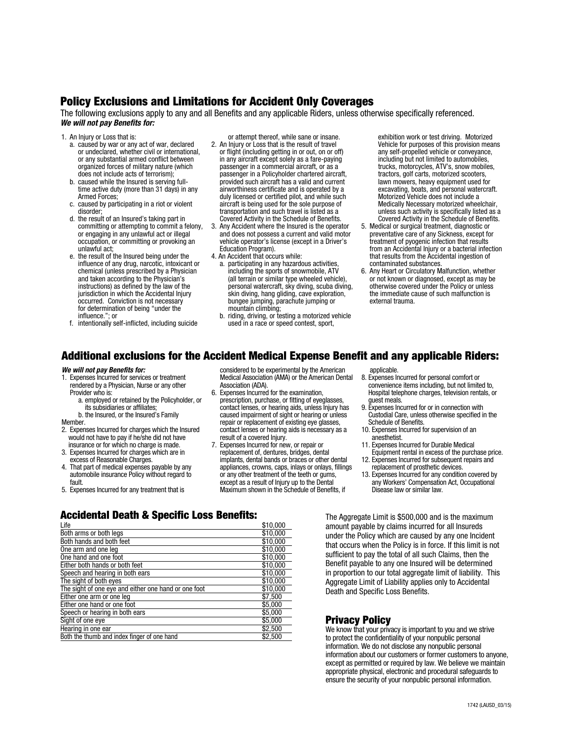# Policy Exclusions and Limitations for Accident Only Coverages

The following exclusions apply to any and all Benefits and any applicable Riders, unless otherwise specifically referenced. *We will not pay Benefits for:*

- 1. An Injury or Loss that is:
	- a. caused by war or any act of war, declared or undeclared, whether civil or international, or any substantial armed conflict between organized forces of military nature (which does not include acts of terrorism);
	- b. caused while the Insured is serving fulltime active duty (more than 31 days) in any Armed Forces;
	- c. caused by participating in a riot or violent disorder;
	- d. the result of an Insured's taking part in committing or attempting to commit a felony, or engaging in any unlawful act or illegal occupation, or committing or provoking an unlawful act;
	- e. the result of the Insured being under the influence of any drug, narcotic, intoxicant or chemical (unless prescribed by a Physician and taken according to the Physician's instructions) as defined by the law of the jurisdiction in which the Accidental Injury occurred. Conviction is not necessary for determination of being "under the influence."; or
	- f. intentionally self-inflicted, including suicide

or attempt thereof, while sane or insane.

- 2. An Injury or Loss that is the result of travel or flight (including getting in or out, on or off) in any aircraft except solely as a fare-paying passenger in a commercial aircraft, or as a passenger in a Policyholder chartered aircraft, provided such aircraft has a valid and current airworthiness certificate and is operated by a duly licensed or certified pilot, and while such aircraft is being used for the sole purpose of transportation and such travel is listed as a Covered Activity in the Schedule of Benefits.
- 3. Any Accident where the Insured is the operator and does not possess a current and valid motor vehicle operator's license (except in a Driver's Education Program).
- 4. An Accident that occurs while:
- a. participating in any hazardous activities, including the sports of snowmobile, ATV (all terrain or similar type wheeled vehicle), personal watercraft, sky diving, scuba diving, skin diving, hang gliding, cave exploration, bungee jumping, parachute jumping or mountain climbing;
- b. riding, driving, or testing a motorized vehicle used in a race or speed contest, sport,

exhibition work or test driving. Motorized Vehicle for purposes of this provision means any self-propelled vehicle or conveyance, including but not limited to automobiles, trucks, motorcycles, ATV's, snow mobiles, tractors, golf carts, motorized scooters, lawn mowers, heavy equipment used for excavating, boats, and personal watercraft. Motorized Vehicle does not include a Medically Necessary motorized wheelchair, unless such activity is specifically listed as a Covered Activity in the Schedule of Benefits.

- 5. Medical or surgical treatment, diagnostic or preventative care of any Sickness, except for treatment of pyogenic infection that results from an Accidental Injury or a bacterial infection that results from the Accidental ingestion of contaminated substances.
- 6. Any Heart or Circulatory Malfunction, whether or not known or diagnosed, except as may be otherwise covered under the Policy or unless the immediate cause of such malfunction is external trauma.

# Additional exclusions for the Accident Medical Expense Benefit and any applicable Riders:

#### *We will not pay Benefits for:*

- 1. Expenses Incurred for services or treatment rendered by a Physician, Nurse or any other Provider who is:
	- a. employed or retained by the Policyholder, or its subsidiaries or affiliates;
- b. the Insured, or the Insured's Family **Member**
- 
- 2. Expenses Incurred for charges which the Insured would not have to pay if he/she did not have insurance or for which no charge is made.
- 3. Expenses Incurred for charges which are in excess of Reasonable Charges.
- 4. That part of medical expenses payable by any automobile insurance Policy without regard to fault.
- 5. Expenses Incurred for any treatment that is

#### considered to be experimental by the American Medical Association (AMA) or the American Dental Association (ADA).

- 6. Expenses Incurred for the examination, prescription, purchase, or fitting of eyeglasses, contact lenses, or hearing aids, unless Injury has caused impairment of sight or hearing or unless repair or replacement of existing eye glasses, contact lenses or hearing aids is necessary as a result of a covered Injury.
- 7. Expenses Incurred for new, or repair or replacement of, dentures, bridges, dental implants, dental bands or braces or other dental appliances, crowns, caps, inlays or onlays, fillings or any other treatment of the teeth or gums, except as a result of Injury up to the Dental Maximum shown in the Schedule of Benefits, if

applicable.

- 8. Expenses Incurred for personal comfort or convenience items including, but not limited to, Hospital telephone charges, television rentals, or guest meals.
- 9. Expenses Incurred for or in connection with Custodial Care, unless otherwise specified in the Schedule of Benefits.
- 10. Expenses Incurred for supervision of an anesthetist.
- 11. Expenses Incurred for Durable Medical Equipment rental in excess of the purchase price.
- 12. Expenses Incurred for subsequent repairs and replacement of prosthetic devices.
- 13. Expenses Incurred for any condition covered by any Workers' Compensation Act, Occupational Disease law or similar law.

# Accidental Death & Specific Loss Benefits:

| Life                                                 | \$10,000 |
|------------------------------------------------------|----------|
| Both arms or both legs                               | \$10,000 |
| Both hands and both feet                             | \$10,000 |
| One arm and one leg                                  | \$10,000 |
| One hand and one foot                                | \$10,000 |
| Either both hands or both feet                       | \$10,000 |
| Speech and hearing in both ears                      | \$10,000 |
| The sight of both eyes                               | \$10,000 |
| The sight of one eye and either one hand or one foot | \$10,000 |
| Either one arm or one leg                            | \$7,500  |
| Either one hand or one foot                          | \$5.000  |
| Speech or hearing in both ears                       | \$5,000  |
| Sight of one eye                                     | \$5,000  |
| Hearing in one ear                                   | \$2,500  |
| Both the thumb and index finger of one hand          | \$2,500  |

The Aggregate Limit is \$500,000 and is the maximum amount payable by claims incurred for all Insureds under the Policy which are caused by any one Incident that occurs when the Policy is in force. If this limit is not sufficient to pay the total of all such Claims, then the Benefit payable to any one Insured will be determined in proportion to our total aggregate limit of liability. This Aggregate Limit of Liability applies only to Accidental Death and Specific Loss Benefits.

# Privacy Policy

We know that your privacy is important to you and we strive to protect the confidentiality of your nonpublic personal information. We do not disclose any nonpublic personal information about our customers or former customers to anyone, except as permitted or required by law. We believe we maintain appropriate physical, electronic and procedural safeguards to ensure the security of your nonpublic personal information.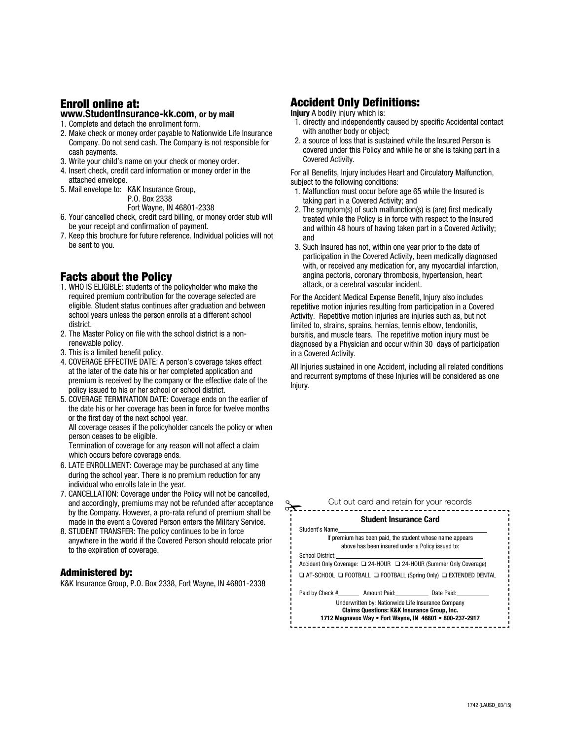# Enroll online at:

# **www.StudentInsurance-kk.com**, **or by mail**

- 1. Complete and detach the enrollment form.
- 2. Make check or money order payable to Nationwide Life Insurance Company. Do not send cash. The Company is not responsible for cash payments.
- 3. Write your child's name on your check or money order.
- 4. Insert check, credit card information or money order in the attached envelope.
- 5. Mail envelope to: K&K Insurance Group, P.O. Box 2338 Fort Wayne, IN 46801-2338
- 6. Your cancelled check, credit card billing, or money order stub will be your receipt and confirmation of payment.
- 7. Keep this brochure for future reference. Individual policies will not be sent to you.

# Facts about the Policy

- 1. WHO IS ELIGIBLE: students of the policyholder who make the required premium contribution for the coverage selected are eligible. Student status continues after graduation and between school years unless the person enrolls at a different school district.
- 2. The Master Policy on file with the school district is a nonrenewable policy.
- 3. This is a limited benefit policy.
- 4. COVERAGE EFFECTIVE DATE: A person's coverage takes effect at the later of the date his or her completed application and premium is received by the company or the effective date of the policy issued to his or her school or school district.
- 5. COVERAGE TERMINATION DATE: Coverage ends on the earlier of the date his or her coverage has been in force for twelve months or the first day of the next school year. All coverage ceases if the policyholder cancels the policy or when person ceases to be eligible. Termination of coverage for any reason will not affect a claim
- which occurs before coverage ends. 6. LATE ENROLLMENT: Coverage may be purchased at any time during the school year. There is no premium reduction for any individual who enrolls late in the year.
- 7. CANCELLATION: Coverage under the Policy will not be cancelled, and accordingly, premiums may not be refunded after acceptance by the Company. However, a pro-rata refund of premium shall be made in the event a Covered Person enters the Military Service.
- 8. STUDENT TRANSFER: The policy continues to be in force anywhere in the world if the Covered Person should relocate prior to the expiration of coverage.

# Administered by:

K&K Insurance Group, P.O. Box 2338, Fort Wayne, IN 46801-2338

# Accident Only Definitions:

**Injury** A bodily injury which is:

- 1. directly and independently caused by specific Accidental contact with another body or object;
- 2. a source of loss that is sustained while the Insured Person is covered under this Policy and while he or she is taking part in a Covered Activity.

For all Benefits, Injury includes Heart and Circulatory Malfunction, subject to the following conditions:

- 1. Malfunction must occur before age 65 while the Insured is taking part in a Covered Activity; and
- 2. The symptom(s) of such malfunction(s) is (are) first medically treated while the Policy is in force with respect to the Insured and within 48 hours of having taken part in a Covered Activity; and
- 3. Such Insured has not, within one year prior to the date of participation in the Covered Activity, been medically diagnosed with, or received any medication for, any myocardial infarction, angina pectoris, coronary thrombosis, hypertension, heart attack, or a cerebral vascular incident.

For the Accident Medical Expense Benefit, Injury also includes repetitive motion injuries resulting from participation in a Covered Activity. Repetitive motion injuries are injuries such as, but not limited to, strains, sprains, hernias, tennis elbow, tendonitis, bursitis, and muscle tears. The repetitive motion injury must be diagnosed by a Physician and occur within 30 days of participation in a Covered Activity.

All Injuries sustained in one Accident, including all related conditions and recurrent symptoms of these Injuries will be considered as one Injury.

|                         |                                                                                                              | Cut out card and retain for your records                                              |
|-------------------------|--------------------------------------------------------------------------------------------------------------|---------------------------------------------------------------------------------------|
|                         | <b>Student Insurance Card</b>                                                                                |                                                                                       |
| Student's Name          |                                                                                                              |                                                                                       |
|                         |                                                                                                              | If premium has been paid, the student whose name appears                              |
|                         | above has been insured under a Policy issued to:                                                             |                                                                                       |
| <b>School District:</b> |                                                                                                              |                                                                                       |
|                         |                                                                                                              | Accident Only Coverage: □ 24-HOUR □ 24-HOUR (Summer Only Coverage)                    |
|                         |                                                                                                              | $\Box$ AT-SCHOOL $\Box$ FOOTBALL $\Box$ FOOTBALL (Spring Only) $\Box$ EXTENDED DENTAL |
|                         | Paid by Check # Amount Paid: Date Paid:                                                                      |                                                                                       |
|                         | Underwritten by: Nationwide Life Insurance Company<br><b>Claims Questions: K&amp;K Insurance Group, Inc.</b> | 1712 Magnavox Way . Fort Wayne, IN 46801 . 800-237-2917                               |